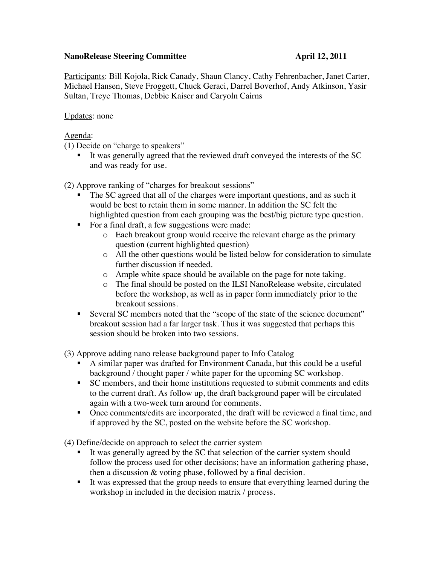## **NanoRelease Steering Committee April 12, 2011**

Participants: Bill Kojola, Rick Canady, Shaun Clancy, Cathy Fehrenbacher, Janet Carter, Michael Hansen, Steve Froggett, Chuck Geraci, Darrel Boverhof, Andy Atkinson, Yasir Sultan, Treye Thomas, Debbie Kaiser and Caryoln Cairns

Updates: none

## Agenda:

(1) Decide on "charge to speakers"

It was generally agreed that the reviewed draft conveyed the interests of the SC and was ready for use.

(2) Approve ranking of "charges for breakout sessions"

- The SC agreed that all of the charges were important questions, and as such it would be best to retain them in some manner. In addition the SC felt the highlighted question from each grouping was the best/big picture type question.
- For a final draft, a few suggestions were made:
	- o Each breakout group would receive the relevant charge as the primary question (current highlighted question)
	- o All the other questions would be listed below for consideration to simulate further discussion if needed.
	- o Ample white space should be available on the page for note taking.
	- o The final should be posted on the ILSI NanoRelease website, circulated before the workshop, as well as in paper form immediately prior to the breakout sessions.
- Several SC members noted that the "scope of the state of the science document" breakout session had a far larger task. Thus it was suggested that perhaps this session should be broken into two sessions.

(3) Approve adding nano release background paper to Info Catalog

- A similar paper was drafted for Environment Canada, but this could be a useful background / thought paper / white paper for the upcoming SC workshop.
- SC members, and their home institutions requested to submit comments and edits to the current draft. As follow up, the draft background paper will be circulated again with a two-week turn around for comments.
- Once comments/edits are incorporated, the draft will be reviewed a final time, and if approved by the SC, posted on the website before the SC workshop.

(4) Define/decide on approach to select the carrier system

- It was generally agreed by the SC that selection of the carrier system should follow the process used for other decisions; have an information gathering phase, then a discussion & voting phase, followed by a final decision.
- It was expressed that the group needs to ensure that everything learned during the workshop in included in the decision matrix / process.